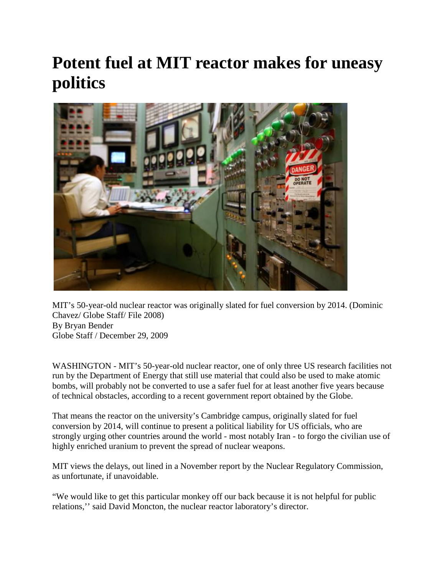## **Potent fuel at MIT reactor makes for uneasy politics**



MIT's 50-year-old nuclear reactor was originally slated for fuel conversion by 2014. (Dominic Chavez/ Globe Staff/ File 2008) By Bryan Bender Globe Staff / December 29, 2009

WASHINGTON - MIT's 50-year-old nuclear reactor, one of only three US research facilities not run by the Department of Energy that still use material that could also be used to make atomic bombs, will probably not be converted to use a safer fuel for at least another five years because of technical obstacles, according to a recent government report obtained by the Globe.

That means the reactor on the university's Cambridge campus, originally slated for fuel conversion by 2014, will continue to present a political liability for US officials, who are strongly urging other countries around the world - most notably Iran - to forgo the civilian use of highly enriched uranium to prevent the spread of nuclear weapons.

MIT views the delays, out lined in a November report by the Nuclear Regulatory Commission, as unfortunate, if unavoidable.

"We would like to get this particular monkey off our back because it is not helpful for public relations,'' said David Moncton, the nuclear reactor laboratory's director.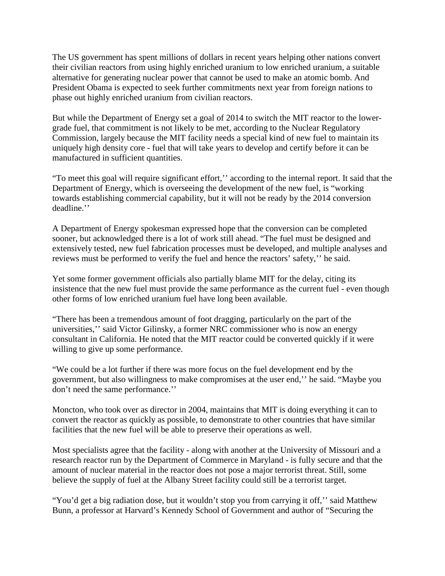The US government has spent millions of dollars in recent years helping other nations convert their civilian reactors from using highly enriched uranium to low enriched uranium, a suitable alternative for generating nuclear power that cannot be used to make an atomic bomb. And President Obama is expected to seek further commitments next year from foreign nations to phase out highly enriched uranium from civilian reactors.

But while the Department of Energy set a goal of 2014 to switch the MIT reactor to the lowergrade fuel, that commitment is not likely to be met, according to the Nuclear Regulatory Commission, largely because the MIT facility needs a special kind of new fuel to maintain its uniquely high density core - fuel that will take years to develop and certify before it can be manufactured in sufficient quantities.

"To meet this goal will require significant effort,'' according to the internal report. It said that the Department of Energy, which is overseeing the development of the new fuel, is "working towards establishing commercial capability, but it will not be ready by the 2014 conversion deadline.''

A Department of Energy spokesman expressed hope that the conversion can be completed sooner, but acknowledged there is a lot of work still ahead. "The fuel must be designed and extensively tested, new fuel fabrication processes must be developed, and multiple analyses and reviews must be performed to verify the fuel and hence the reactors' safety,'' he said.

Yet some former government officials also partially blame MIT for the delay, citing its insistence that the new fuel must provide the same performance as the current fuel - even though other forms of low enriched uranium fuel have long been available.

"There has been a tremendous amount of foot dragging, particularly on the part of the universities,'' said Victor Gilinsky, a former NRC commissioner who is now an energy consultant in California. He noted that the MIT reactor could be converted quickly if it were willing to give up some performance.

"We could be a lot further if there was more focus on the fuel development end by the government, but also willingness to make compromises at the user end,'' he said. "Maybe you don't need the same performance.''

Moncton, who took over as director in 2004, maintains that MIT is doing everything it can to convert the reactor as quickly as possible, to demonstrate to other countries that have similar facilities that the new fuel will be able to preserve their operations as well.

Most specialists agree that the facility - along with another at the University of Missouri and a research reactor run by the Department of Commerce in Maryland - is fully secure and that the amount of nuclear material in the reactor does not pose a major terrorist threat. Still, some believe the supply of fuel at the Albany Street facility could still be a terrorist target.

"You'd get a big radiation dose, but it wouldn't stop you from carrying it off,'' said Matthew Bunn, a professor at Harvard's Kennedy School of Government and author of "Securing the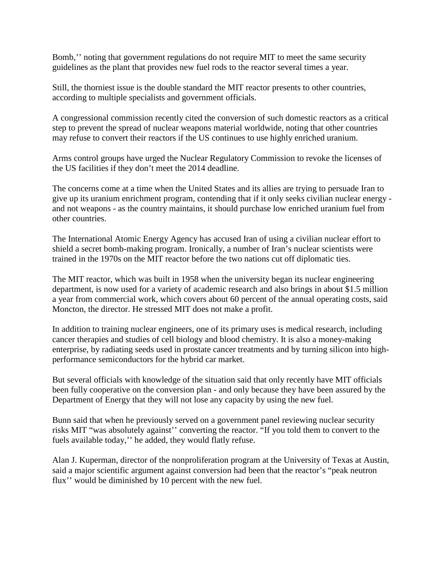Bomb,'' noting that government regulations do not require MIT to meet the same security guidelines as the plant that provides new fuel rods to the reactor several times a year.

Still, the thorniest issue is the double standard the MIT reactor presents to other countries, according to multiple specialists and government officials.

A congressional commission recently cited the conversion of such domestic reactors as a critical step to prevent the spread of nuclear weapons material worldwide, noting that other countries may refuse to convert their reactors if the US continues to use highly enriched uranium.

Arms control groups have urged the Nuclear Regulatory Commission to revoke the licenses of the US facilities if they don't meet the 2014 deadline.

The concerns come at a time when the United States and its allies are trying to persuade Iran to give up its uranium enrichment program, contending that if it only seeks civilian nuclear energy and not weapons - as the country maintains, it should purchase low enriched uranium fuel from other countries.

The International Atomic Energy Agency has accused Iran of using a civilian nuclear effort to shield a secret bomb-making program. Ironically, a number of Iran's nuclear scientists were trained in the 1970s on the MIT reactor before the two nations cut off diplomatic ties.

The MIT reactor, which was built in 1958 when the university began its nuclear engineering department, is now used for a variety of academic research and also brings in about \$1.5 million a year from commercial work, which covers about 60 percent of the annual operating costs, said Moncton, the director. He stressed MIT does not make a profit.

In addition to training nuclear engineers, one of its primary uses is medical research, including cancer therapies and studies of cell biology and blood chemistry. It is also a money-making enterprise, by radiating seeds used in prostate cancer treatments and by turning silicon into highperformance semiconductors for the hybrid car market.

But several officials with knowledge of the situation said that only recently have MIT officials been fully cooperative on the conversion plan - and only because they have been assured by the Department of Energy that they will not lose any capacity by using the new fuel.

Bunn said that when he previously served on a government panel reviewing nuclear security risks MIT "was absolutely against'' converting the reactor. "If you told them to convert to the fuels available today,'' he added, they would flatly refuse.

Alan J. Kuperman, director of the nonproliferation program at the University of Texas at Austin, said a major scientific argument against conversion had been that the reactor's "peak neutron flux'' would be diminished by 10 percent with the new fuel.